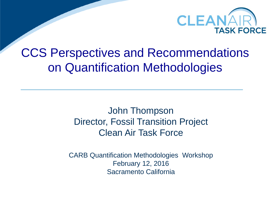

### CCS Perspectives and Recommendations on Quantification Methodologies

John Thompson Director, Fossil Transition Project Clean Air Task Force

CARB Quantification Methodologies Workshop February 12, 2016 Sacramento California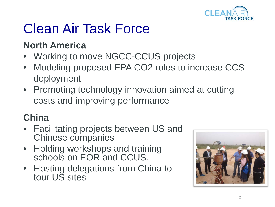

# Clean Air Task Force

### **North America**

- Working to move NGCC-CCUS projects
- Modeling proposed EPA CO2 rules to increase CCS deployment
- Promoting technology innovation aimed at cutting costs and improving performance

### **China**

- Facilitating projects between US and Chinese companies
- Holding workshops and training schools on EOR and CCUS.
- Hosting delegations from China to tour US sites

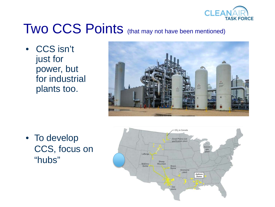

## Two CCS Points (that may not have been mentioned)

• CCS isn't just for power, but for industrial plants too.



• To develop CCS, focus on "hubs"

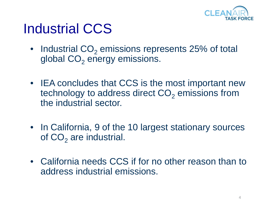

### Industrial CCS

- Industrial  $CO<sub>2</sub>$  emissions represents 25% of total global  $CO<sub>2</sub>$  energy emissions.
- IEA concludes that CCS is the most important new technology to address direct CO<sub>2</sub> emissions from the industrial sector.
- In California, 9 of the 10 largest stationary sources of  $CO<sub>2</sub>$  are industrial.
- California needs CCS if for no other reason than to address industrial emissions.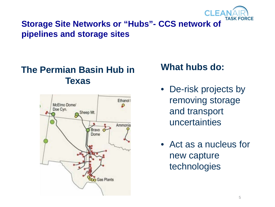

#### **Storage Site Networks or "Hubs"- CCS network of pipelines and storage sites**

#### **The Permian Basin Hub in Texas**



#### **What hubs do:**

- De-risk projects by removing storage and transport uncertainties
- Act as a nucleus for new capture technologies